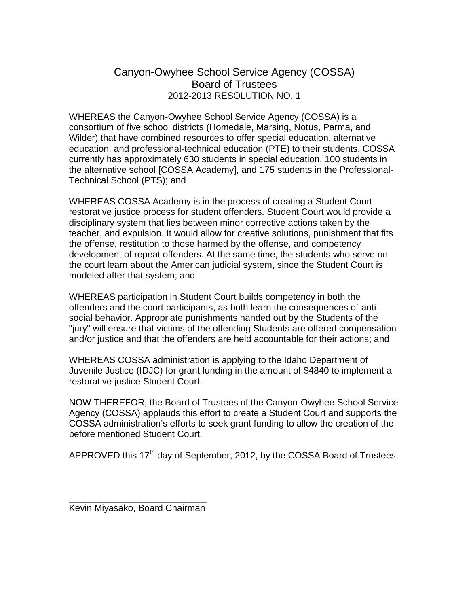## Canyon-Owyhee School Service Agency (COSSA) Board of Trustees 2012-2013 RESOLUTION NO. 1

WHEREAS the Canyon-Owyhee School Service Agency (COSSA) is a consortium of five school districts (Homedale, Marsing, Notus, Parma, and Wilder) that have combined resources to offer special education, alternative education, and professional-technical education (PTE) to their students. COSSA currently has approximately 630 students in special education, 100 students in the alternative school [COSSA Academy], and 175 students in the Professional-Technical School (PTS); and

WHEREAS COSSA Academy is in the process of creating a Student Court restorative justice process for student offenders. Student Court would provide a disciplinary system that lies between minor corrective actions taken by the teacher, and expulsion. It would allow for creative solutions, punishment that fits the offense, restitution to those harmed by the offense, and competency development of repeat offenders. At the same time, the students who serve on the court learn about the American judicial system, since the Student Court is modeled after that system; and

WHEREAS participation in Student Court builds competency in both the offenders and the court participants, as both learn the consequences of antisocial behavior. Appropriate punishments handed out by the Students of the "jury" will ensure that victims of the offending Students are offered compensation and/or justice and that the offenders are held accountable for their actions; and

WHEREAS COSSA administration is applying to the Idaho Department of Juvenile Justice (IDJC) for grant funding in the amount of \$4840 to implement a restorative justice Student Court.

NOW THEREFOR, the Board of Trustees of the Canyon-Owyhee School Service Agency (COSSA) applauds this effort to create a Student Court and supports the COSSA administration's efforts to seek grant funding to allow the creation of the before mentioned Student Court.

APPROVED this 17<sup>th</sup> day of September, 2012, by the COSSA Board of Trustees.

\_\_\_\_\_\_\_\_\_\_\_\_\_\_\_\_\_\_\_\_\_\_\_\_\_\_\_ Kevin Miyasako, Board Chairman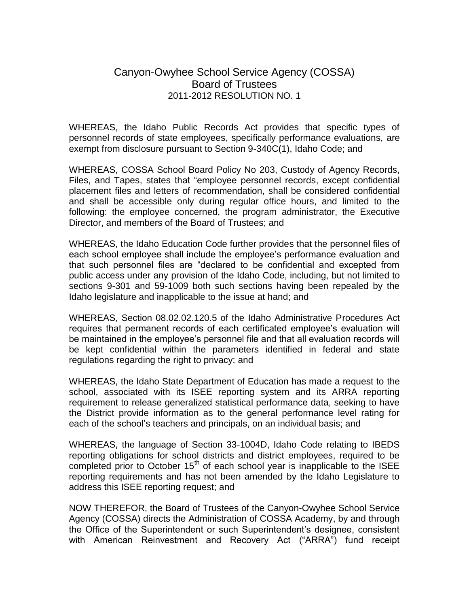## Canyon-Owyhee School Service Agency (COSSA) Board of Trustees 2011-2012 RESOLUTION NO. 1

WHEREAS, the Idaho Public Records Act provides that specific types of personnel records of state employees, specifically performance evaluations, are exempt from disclosure pursuant to Section 9-340C(1), Idaho Code; and

WHEREAS, COSSA School Board Policy No 203, Custody of Agency Records, Files, and Tapes, states that "employee personnel records, except confidential placement files and letters of recommendation, shall be considered confidential and shall be accessible only during regular office hours, and limited to the following: the employee concerned, the program administrator, the Executive Director, and members of the Board of Trustees; and

WHEREAS, the Idaho Education Code further provides that the personnel files of each school employee shall include the employee's performance evaluation and that such personnel files are "declared to be confidential and excepted from public access under any provision of the Idaho Code, including, but not limited to sections 9-301 and 59-1009 both such sections having been repealed by the Idaho legislature and inapplicable to the issue at hand; and

WHEREAS, Section 08.02.02.120.5 of the Idaho Administrative Procedures Act requires that permanent records of each certificated employee's evaluation will be maintained in the employee's personnel file and that all evaluation records will be kept confidential within the parameters identified in federal and state regulations regarding the right to privacy; and

WHEREAS, the Idaho State Department of Education has made a request to the school, associated with its ISEE reporting system and its ARRA reporting requirement to release generalized statistical performance data, seeking to have the District provide information as to the general performance level rating for each of the school's teachers and principals, on an individual basis; and

WHEREAS, the language of Section 33-1004D, Idaho Code relating to IBEDS reporting obligations for school districts and district employees, required to be completed prior to October  $15<sup>th</sup>$  of each school year is inapplicable to the ISEE reporting requirements and has not been amended by the Idaho Legislature to address this ISEE reporting request; and

NOW THEREFOR, the Board of Trustees of the Canyon-Owyhee School Service Agency (COSSA) directs the Administration of COSSA Academy, by and through the Office of the Superintendent or such Superintendent's designee, consistent with American Reinvestment and Recovery Act ("ARRA") fund receipt